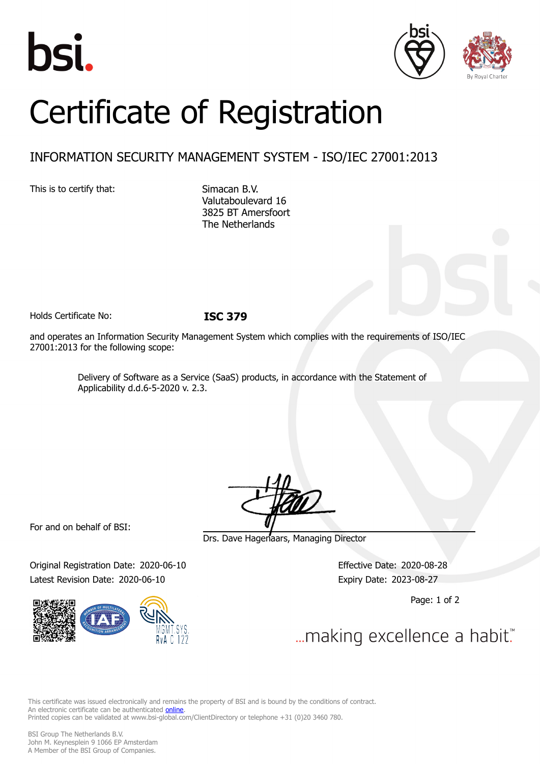





## Certificate of Registration

## INFORMATION SECURITY MANAGEMENT SYSTEM - ISO/IEC 27001:2013

This is to certify that: Simacan B.V.

Valutaboulevard 16 3825 BT Amersfoort The Netherlands

Holds Certificate No: **ISC 379**

and operates an Information Security Management System which complies with the requirements of ISO/IEC 27001:2013 for the following scope:

> Delivery of Software as a Service (SaaS) products, in accordance with the Statement of Applicability d.d.6-5-2020 v. 2.3.

For and on behalf of BSI:

Original Registration Date: 2020-06-10 Effective Date: 2020-08-28 Latest Revision Date: 2020-06-10 Expiry Date: 2023-08-27



Drs. Dave Hagenaars, Managing Director

Page: 1 of 2

... making excellence a habit."

This certificate was issued electronically and remains the property of BSI and is bound by the conditions of contract. An electronic certificate can be authenticated **[online](https://pgplus.bsigroup.com/CertificateValidation/CertificateValidator.aspx?CertificateNumber=ISC+379&ReIssueDate=10%2f06%2f2020&Template=cemea_en)**. Printed copies can be validated at www.bsi-global.com/ClientDirectory or telephone +31 (0)20 3460 780.